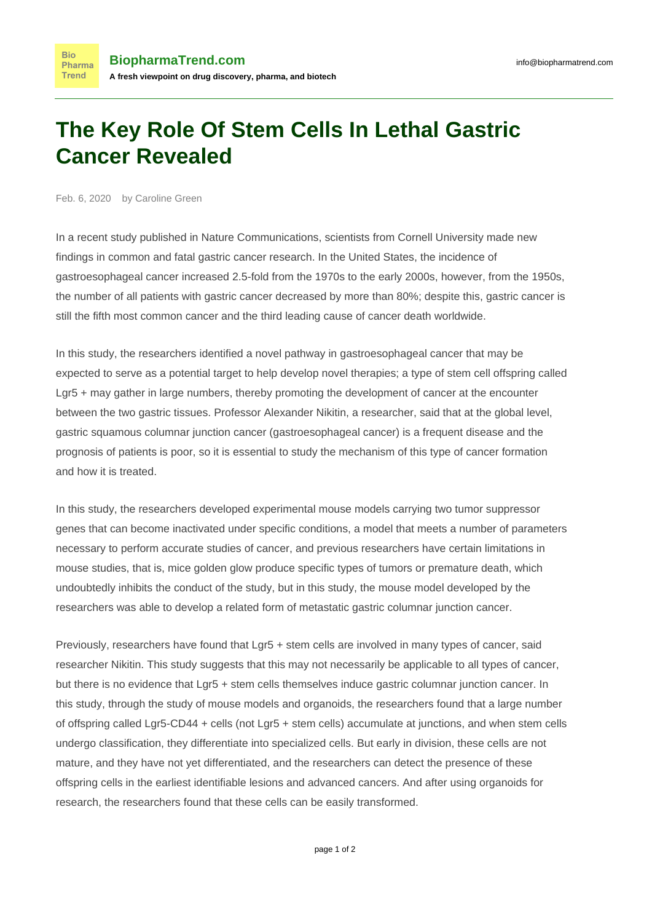## **The Key Role Of Stem Cells In Lethal Gastric Cancer Revealed**

Feb. 6, 2020 by Caroline Green

**Bio** Pharma Trend

In a [recent study published in Nature Communications](https://www.nature.com/articles/s41467-019-13847-2), scientists from Cornell University made new findings in common and fatal gastric cancer research. In the United States, the incidence of gastroesophageal cancer increased 2.5-fold from the 1970s to the early 2000s, however, from the 1950s, the number of all patients with gastric cancer decreased by more than 80%; despite this, gastric cancer is still the fifth most common cancer and the third leading cause of cancer death worldwide.

In this study, the researchers identified a novel pathway in gastroesophageal cancer that may be expected to serve as a potential target to help develop novel therapies; a type of stem cell offspring called Lgr5 + may gather in large numbers, thereby promoting the development of cancer at the encounter between the two gastric tissues. Professor Alexander Nikitin, a researcher, said that at the global level, gastric squamous columnar junction cancer (gastroesophageal cancer) is a frequent disease and the prognosis of patients is poor, so it is essential to study the mechanism of this type of cancer formation and how it is treated.

In this study, the researchers developed experimental mouse models carrying two tumor suppressor genes that can become inactivated under specific conditions, a model that meets a number of parameters necessary to perform accurate studies of cancer, and previous researchers have certain limitations in mouse studies, that is, mice golden glow produce specific types of tumors or premature death, which undoubtedly inhibits the conduct of the study, but in this study, the mouse model developed by the researchers was able to develop a related form of metastatic gastric columnar junction cancer.

Previously, researchers have found that Lgr5 + stem cells are involved in many types of cancer, said researcher Nikitin. This study suggests that this may not necessarily be applicable to all types of cancer, but there is no evidence that Lgr5 + stem cells themselves induce gastric columnar junction cancer. In this study, through the study of mouse models and organoids, the researchers found that a large number of offspring called Lgr5-CD44 + cells (not Lgr5 + stem cells) accumulate at junctions, and when stem cells undergo classification, they differentiate into specialized cells. But early in division, these cells are not mature, and they have not yet differentiated, and the researchers can detect the presence of these offspring cells in the earliest identifiable lesions and advanced cancers. And after using organoids for research, the researchers found that these cells can be easily transformed.